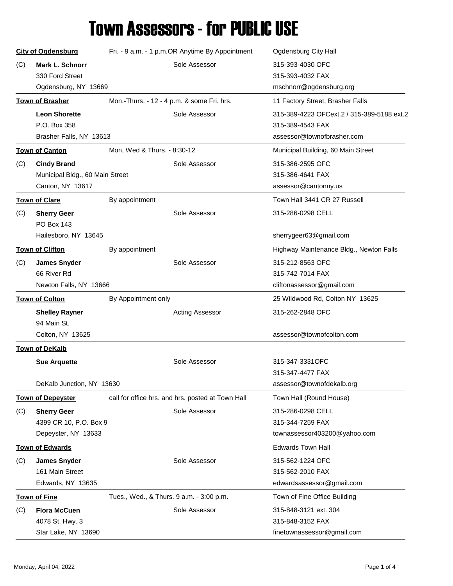## Town Assessors - for PUBLIC USE

|     | <b>City of Ogdensburg</b>       | Fri. - 9 a.m. - 1 p.m.OR Anytime By Appointment   | Ogdensburg City Hall                       |
|-----|---------------------------------|---------------------------------------------------|--------------------------------------------|
| (C) | <b>Mark L. Schnorr</b>          | Sole Assessor                                     | 315-393-4030 OFC                           |
|     | 330 Ford Street                 |                                                   | 315-393-4032 FAX                           |
|     | Ogdensburg, NY 13669            |                                                   | mschnorr@ogdensburg.org                    |
|     | <b>Town of Brasher</b>          | Mon.-Thurs. - 12 - 4 p.m. & some Fri. hrs.        | 11 Factory Street, Brasher Falls           |
|     | <b>Leon Shorette</b>            | Sole Assessor                                     | 315-389-4223 OFCext.2 / 315-389-5188 ext.2 |
|     | P.O. Box 358                    |                                                   | 315-389-4543 FAX                           |
|     | Brasher Falls, NY 13613         |                                                   | assessor@townofbrasher.com                 |
|     | <b>Town of Canton</b>           | Mon, Wed & Thurs. - 8:30-12                       | Municipal Building, 60 Main Street         |
| (C) | <b>Cindy Brand</b>              | Sole Assessor                                     | 315-386-2595 OFC                           |
|     | Municipal Bldg., 60 Main Street |                                                   | 315-386-4641 FAX                           |
|     | Canton, NY 13617                |                                                   | assessor@cantonny.us                       |
|     | <b>Town of Clare</b>            | By appointment                                    | Town Hall 3441 CR 27 Russell               |
| (C) | <b>Sherry Geer</b>              | Sole Assessor                                     | 315-286-0298 CELL                          |
|     | PO Box 143                      |                                                   |                                            |
|     | Hailesboro, NY 13645            |                                                   | sherrygeer63@gmail.com                     |
|     | <b>Town of Clifton</b>          | By appointment                                    | Highway Maintenance Bldg., Newton Falls    |
| (C) | <b>James Snyder</b>             | Sole Assessor                                     | 315-212-8563 OFC                           |
|     | 66 River Rd                     |                                                   | 315-742-7014 FAX                           |
|     | Newton Falls, NY 13666          |                                                   | cliftonassessor@gmail.com                  |
|     |                                 |                                                   |                                            |
|     | <b>Town of Colton</b>           | By Appointment only                               | 25 Wildwood Rd, Colton NY 13625            |
|     | <b>Shelley Rayner</b>           | <b>Acting Assessor</b>                            | 315-262-2848 OFC                           |
|     | 94 Main St.                     |                                                   |                                            |
|     | Colton, NY 13625                |                                                   | assessor@townofcolton.com                  |
|     | <b>Town of DeKalb</b>           |                                                   |                                            |
|     | <b>Sue Arquette</b>             | Sole Assessor                                     | 315-347-3331OFC                            |
|     |                                 |                                                   | 315-347-4477 FAX                           |
|     | DeKalb Junction, NY 13630       |                                                   | assessor@townofdekalb.org                  |
|     | <b>Town of Depeyster</b>        | call for office hrs. and hrs. posted at Town Hall | Town Hall (Round House)                    |
| (C) | <b>Sherry Geer</b>              | Sole Assessor                                     | 315-286-0298 CELL                          |
|     | 4399 CR 10, P.O. Box 9          |                                                   | 315-344-7259 FAX                           |
|     | Depeyster, NY 13633             |                                                   | townassessor403200@yahoo.com               |
|     | <b>Town of Edwards</b>          |                                                   | <b>Edwards Town Hall</b>                   |
| (C) | <b>James Snyder</b>             | Sole Assessor                                     | 315-562-1224 OFC                           |
|     | 161 Main Street                 |                                                   | 315-562-2010 FAX                           |
|     | Edwards, NY 13635               |                                                   | edwardsassessor@gmail.com                  |
|     | <b>Town of Fine</b>             | Tues., Wed., & Thurs. 9 a.m. - 3:00 p.m.          | Town of Fine Office Building               |
| (C) | <b>Flora McCuen</b>             | Sole Assessor                                     | 315-848-3121 ext. 304                      |
|     | 4078 St. Hwy. 3                 |                                                   | 315-848-3152 FAX                           |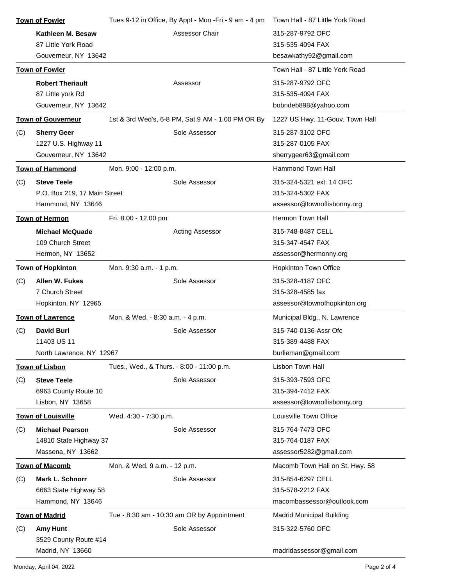|     | <b>Town of Fowler</b>        | Tues 9-12 in Office, By Appt - Mon -Fri - 9 am - 4 pm |                        | Town Hall - 87 Little York Road |
|-----|------------------------------|-------------------------------------------------------|------------------------|---------------------------------|
|     | Kathleen M. Besaw            |                                                       | Assessor Chair         | 315-287-9792 OFC                |
|     | 87 Little York Road          |                                                       |                        | 315-535-4094 FAX                |
|     | Gouverneur, NY 13642         |                                                       |                        | besawkathy92@gmail.com          |
|     | <b>Town of Fowler</b>        |                                                       |                        | Town Hall - 87 Little York Road |
|     | <b>Robert Theriault</b>      | Assessor                                              |                        | 315-287-9792 OFC                |
|     | 87 Little york Rd            |                                                       |                        | 315-535-4094 FAX                |
|     | Gouverneur, NY 13642         |                                                       |                        | bobndeb898@yahoo.com            |
|     | <b>Town of Gouverneur</b>    | 1st & 3rd Wed's, 6-8 PM, Sat.9 AM - 1.00 PM OR By     |                        | 1227 US Hwy. 11-Gouv. Town Hall |
| (C) | <b>Sherry Geer</b>           |                                                       | Sole Assessor          | 315-287-3102 OFC                |
|     | 1227 U.S. Highway 11         |                                                       |                        | 315-287-0105 FAX                |
|     | Gouverneur, NY 13642         |                                                       |                        | sherrygeer63@gmail.com          |
|     | <b>Town of Hammond</b>       | Mon. 9:00 - 12:00 p.m.                                |                        | <b>Hammond Town Hall</b>        |
| (C) | <b>Steve Teele</b>           |                                                       | Sole Assessor          | 315-324-5321 ext. 14 OFC        |
|     | P.O. Box 219, 17 Main Street |                                                       |                        | 315-324-5302 FAX                |
|     | Hammond, NY 13646            |                                                       |                        | assessor@townoflisbonny.org     |
|     | <b>Town of Hermon</b>        | Fri. 8.00 - 12.00 pm                                  |                        | <b>Hermon Town Hall</b>         |
|     | <b>Michael McQuade</b>       |                                                       | <b>Acting Assessor</b> | 315-748-8487 CELL               |
|     | 109 Church Street            |                                                       |                        | 315-347-4547 FAX                |
|     | Hermon, NY 13652             |                                                       |                        | assessor@hermonny.org           |
|     | <b>Town of Hopkinton</b>     | Mon. 9:30 a.m. - 1 p.m.                               |                        | <b>Hopkinton Town Office</b>    |
| (C) | Allen W. Fukes               |                                                       | Sole Assessor          | 315-328-4187 OFC                |
|     | 7 Church Street              |                                                       |                        | 315-328-4585 fax                |
|     | Hopkinton, NY 12965          |                                                       |                        | assessor@townofhopkinton.org    |
|     | <b>Town of Lawrence</b>      | Mon. & Wed. - 8:30 a.m. - 4 p.m.                      |                        | Municipal Bldg., N. Lawrence    |
| (C) | <b>David Burl</b>            |                                                       | Sole Assessor          | 315-740-0136-Assr Ofc           |
|     | 11403 US 11                  |                                                       |                        | 315-389-4488 FAX                |
|     | North Lawrence, NY 12967     |                                                       |                        | burlieman@gmail.com             |
|     | <b>Town of Lisbon</b>        | Tues., Wed., & Thurs. - 8:00 - 11:00 p.m.             |                        | Lisbon Town Hall                |
| (C) | <b>Steve Teele</b>           |                                                       | Sole Assessor          | 315-393-7593 OFC                |
|     | 6963 County Route 10         |                                                       |                        | 315-394-7412 FAX                |
|     | Lisbon, NY 13658             |                                                       |                        | assessor@townoflisbonny.org     |
|     | <b>Town of Louisville</b>    | Wed. 4:30 - 7:30 p.m.                                 |                        | Louisville Town Office          |
| (C) | <b>Michael Pearson</b>       |                                                       | Sole Assessor          | 315-764-7473 OFC                |
|     | 14810 State Highway 37       |                                                       |                        | 315-764-0187 FAX                |
|     | Massena, NY 13662            |                                                       |                        | assessor5282@gmail.com          |
|     | <b>Town of Macomb</b>        | Mon. & Wed. 9 a.m. - 12 p.m.                          |                        | Macomb Town Hall on St. Hwy. 58 |
| (C) | Mark L. Schnorr              |                                                       | Sole Assessor          | 315-854-6297 CELL               |
|     | 6663 State Highway 58        |                                                       |                        | 315-578-2212 FAX                |
|     | Hammond, NY 13646            |                                                       |                        | macombassessor@outlook.com      |
|     | <b>Town of Madrid</b>        | Tue - 8:30 am - 10:30 am OR by Appointment            |                        | Madrid Municipal Building       |
| (C) | <b>Amy Hunt</b>              |                                                       | Sole Assessor          | 315-322-5760 OFC                |
|     | 3529 County Route #14        |                                                       |                        |                                 |
|     | Madrid, NY 13660             |                                                       |                        | madridassessor@gmail.com        |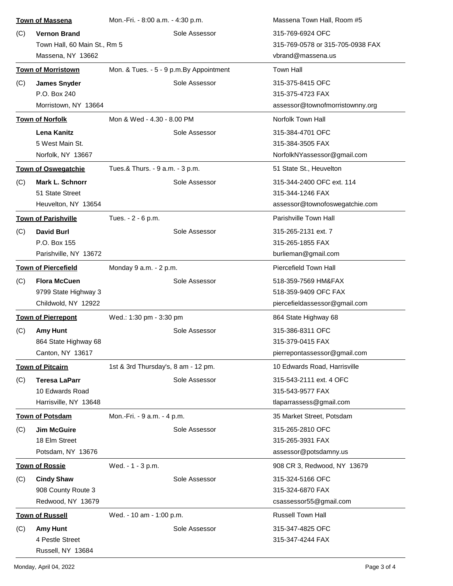| <b>Town of Massena</b> |                              | Mon.-Fri. - 8:00 a.m. - 4:30 p.m.        |               | Massena Town Hall, Room #5       |
|------------------------|------------------------------|------------------------------------------|---------------|----------------------------------|
| (C)                    | <b>Vernon Brand</b>          |                                          | Sole Assessor | 315-769-6924 OFC                 |
|                        | Town Hall, 60 Main St., Rm 5 |                                          |               | 315-769-0578 or 315-705-0938 FAX |
|                        | Massena, NY 13662            |                                          |               | vbrand@massena.us                |
|                        | <b>Town of Morristown</b>    | Mon. & Tues. - 5 - 9 p.m. By Appointment |               | <b>Town Hall</b>                 |
| (C)                    | <b>James Snyder</b>          |                                          | Sole Assessor | 315-375-8415 OFC                 |
|                        | P.O. Box 240                 |                                          |               | 315-375-4723 FAX                 |
|                        | Morristown, NY 13664         |                                          |               | assessor@townofmorristownny.org  |
|                        | <b>Town of Norfolk</b>       | Mon & Wed - 4.30 - 8.00 PM               |               | Norfolk Town Hall                |
|                        | <b>Lena Kanitz</b>           |                                          | Sole Assessor | 315-384-4701 OFC                 |
|                        | 5 West Main St.              |                                          |               | 315-384-3505 FAX                 |
|                        | Norfolk, NY 13667            |                                          |               | NorfolkNYassessor@gmail.com      |
|                        | <b>Town of Oswegatchie</b>   | Tues.& Thurs. - 9 a.m. - 3 p.m.          |               | 51 State St., Heuvelton          |
| (C)                    | <b>Mark L. Schnorr</b>       |                                          | Sole Assessor | 315-344-2400 OFC ext. 114        |
|                        | 51 State Street              |                                          |               | 315-344-1246 FAX                 |
|                        | Heuvelton, NY 13654          |                                          |               | assessor@townofoswegatchie.com   |
|                        | <b>Town of Parishville</b>   | Tues. - 2 - 6 p.m.                       |               | Parishville Town Hall            |
| (C)                    | <b>David Burl</b>            |                                          | Sole Assessor | 315-265-2131 ext. 7              |
|                        | P.O. Box 155                 |                                          |               | 315-265-1855 FAX                 |
|                        | Parishville, NY 13672        |                                          |               | burlieman@gmail.com              |
|                        | <b>Town of Piercefield</b>   | Monday 9 a.m. - 2 p.m.                   |               | Piercefield Town Hall            |
| (C)                    | <b>Flora McCuen</b>          |                                          | Sole Assessor | 518-359-7569 HM&FAX              |
|                        | 9799 State Highway 3         |                                          |               | 518-359-9409 OFC FAX             |
|                        | Childwold, NY 12922          |                                          |               | piercefieldassessor@gmail.com    |
|                        | <b>Town of Pierrepont</b>    | Wed.: 1:30 pm - 3:30 pm                  |               | 864 State Highway 68             |
| (C)                    | <b>Amy Hunt</b>              |                                          | Sole Assessor | 315-386-8311 OFC                 |
|                        | 864 State Highway 68         |                                          |               | 315-379-0415 FAX                 |
|                        | Canton, NY 13617             |                                          |               | pierrepontassessor@gmail.com     |
|                        | <b>Town of Pitcairn</b>      | 1st & 3rd Thursday's, 8 am - 12 pm.      |               | 10 Edwards Road, Harrisville     |
| (C)                    | <b>Teresa LaParr</b>         |                                          | Sole Assessor | 315-543-2111 ext. 4 OFC          |
|                        | 10 Edwards Road              |                                          |               | 315-543-9577 FAX                 |
|                        | Harrisville, NY 13648        |                                          |               | tlaparrassess@gmail.com          |
|                        | <b>Town of Potsdam</b>       | Mon.-Fri. - 9 a.m. - 4 p.m.              |               | 35 Market Street, Potsdam        |
| (C)                    | <b>Jim McGuire</b>           |                                          | Sole Assessor | 315-265-2810 OFC                 |
|                        | 18 Elm Street                |                                          |               | 315-265-3931 FAX                 |
|                        | Potsdam, NY 13676            |                                          |               | assessor@potsdamny.us            |
|                        | <b>Town of Rossie</b>        | Wed. - 1 - 3 p.m.                        |               | 908 CR 3, Redwood, NY 13679      |
| (C)                    | <b>Cindy Shaw</b>            |                                          | Sole Assessor | 315-324-5166 OFC                 |
|                        | 908 County Route 3           |                                          |               | 315-324-6870 FAX                 |
|                        | Redwood, NY 13679            |                                          |               | csassessor55@gmail.com           |
|                        | <b>Town of Russell</b>       | Wed. - 10 am - 1:00 p.m.                 |               | Russell Town Hall                |
| (C)                    | <b>Amy Hunt</b>              |                                          | Sole Assessor | 315-347-4825 OFC                 |
|                        | 4 Pestle Street              |                                          |               | 315-347-4244 FAX                 |
|                        | Russell, NY 13684            |                                          |               |                                  |